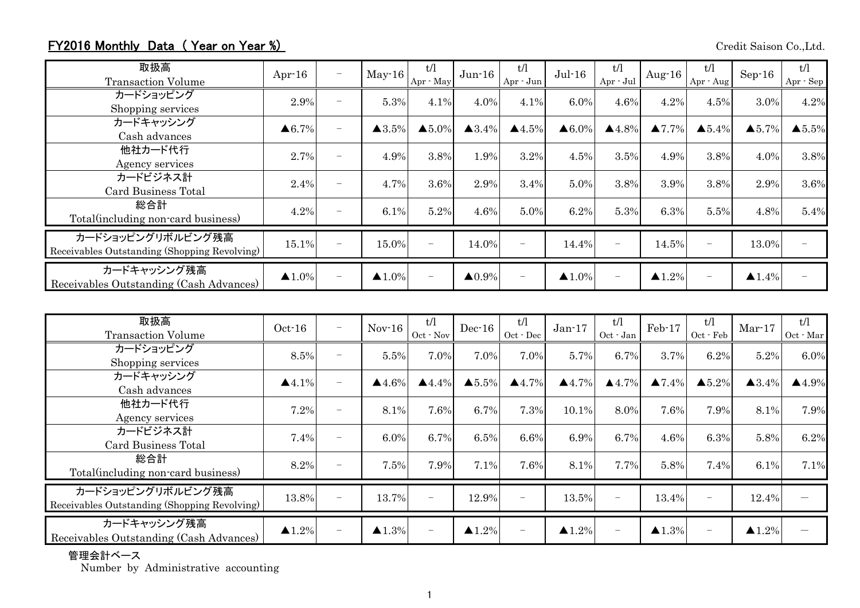## FY2016 Monthly Data (Year on Year %) Credit Saison Co.,Ltd.

| 取扱高<br><b>Transaction Volume</b>                                  | Apr $-16$             | $\overline{\phantom{0}}$ | $May-16$              | t/l<br>Apr - May  | $Jun-16$               | t/1<br>Apr - Jun         | $Jul-16$              | t/l<br>Apr - Jul         | Aug- $16$              | t/l<br>Apr - Aug         | $Sep-16$               | t/l<br>Apr - Sep       |
|-------------------------------------------------------------------|-----------------------|--------------------------|-----------------------|-------------------|------------------------|--------------------------|-----------------------|--------------------------|------------------------|--------------------------|------------------------|------------------------|
| カードショッピング<br>Shopping services                                    | 2.9%                  | $\overline{\phantom{0}}$ | 5.3%                  | 4.1%              | 4.0%                   | 4.1%                     | 6.0%                  | 4.6%                     | 4.2%                   | 4.5%                     | 3.0%                   | 4.2%                   |
| カードキャッシング<br>Cash advances                                        | $\triangle 6.7\%$     |                          | $\triangle 3.5\%$     | $\triangle 5.0\%$ | $\triangle 3.4\%$      | $\blacktriangle 4.5\%$   | $\triangle 6.0\%$     | $\blacktriangle 4.8\%$   | $\blacktriangle 7.7\%$ | $\triangle 5.4\%$        | $\blacktriangle 5.7\%$ | $\blacktriangle 5.5\%$ |
| 他社カード代行<br>Agency services                                        | 2.7%                  | $\overline{\phantom{0}}$ | 4.9%                  | 3.8%              | 1.9%                   | 3.2%                     | 4.5%                  | 3.5%                     | 4.9%                   | 3.8%                     | 4.0%                   | 3.8%                   |
| カードビジネス計<br>Card Business Total                                   | 2.4%                  | $\overline{\phantom{0}}$ | 4.7%                  | 3.6%              | 2.9%                   | 3.4%                     | 5.0%                  | 3.8%                     | 3.9%                   | 3.8%                     | 2.9%                   | 3.6%                   |
| 総合計<br>Total(including non-card business)                         | 4.2%                  | $\overline{\phantom{0}}$ | 6.1%                  | 5.2%              | 4.6%                   | 5.0%                     | 6.2%                  | 5.3%                     | 6.3%                   | 5.5%                     | 4.8%                   | 5.4%                   |
| カードショッピングリボルビング残高<br>Receivables Outstanding (Shopping Revolving) | 15.1%                 |                          | 15.0%                 |                   | 14.0%                  | $\overline{\phantom{0}}$ | 14.4%                 |                          | 14.5%                  | $\overline{\phantom{0}}$ | 13.0%                  |                        |
| カードキャッシング残高<br>Receivables Outstanding (Cash Advances)            | $\blacktriangle$ 1.0% | $\overline{\phantom{0}}$ | $\blacktriangle$ 1.0% |                   | $\blacktriangle 0.9\%$ | $\overline{\phantom{m}}$ | $\blacktriangle$ 1.0% | $\overline{\phantom{a}}$ | $\blacktriangle 1.2\%$ | $\overline{\phantom{0}}$ | $\blacktriangle$ 1.4%  |                        |

| 取扱高<br><b>Transaction Volume</b>                                  | $Oct-16$              | $\overline{\phantom{m}}$ | $Nov-16$          | t/l<br>Oct - Nov      | $Dec-16$              | t/l<br>Oct - Dec         | $Jan-17$              | t/l<br>Oct - Jan      | Feb-17            | t/l<br>Oct - Feb  | $Mar-17$              | t/l<br>Oct - Mar      |
|-------------------------------------------------------------------|-----------------------|--------------------------|-------------------|-----------------------|-----------------------|--------------------------|-----------------------|-----------------------|-------------------|-------------------|-----------------------|-----------------------|
| カードショッピング<br>Shopping services                                    | 8.5%                  | $\overline{\phantom{a}}$ | 5.5%              | 7.0%                  | 7.0%                  | 7.0%                     | 5.7%                  | 6.7%                  | 3.7%              | 6.2%              | 5.2%                  | 6.0%                  |
| カードキャッシング<br>Cash advances                                        | $\blacktriangle$ 4.1% |                          | $\triangle$ 4.6%  | $\blacktriangle$ 4.4% | $\triangle 5.5\%$     | $\blacktriangle$ 4.7%    | $\triangle 4.7\%$     | $\blacktriangle$ 4.7% | $\triangle 7.4\%$ | $\triangle 5.2\%$ | $\triangle 3.4\%$     | $\blacktriangle$ 4.9% |
| 他社カード代行<br>Agency services                                        | 7.2%                  | $\overline{\phantom{0}}$ | 8.1%              | 7.6%                  | 6.7%                  | 7.3%                     | 10.1%                 | 8.0%                  | 7.6%              | 7.9%              | 8.1%                  | 7.9%                  |
| カードビジネス計<br><b>Card Business Total</b>                            | 7.4%                  | ۰                        | 6.0%              | 6.7%                  | 6.5%                  | 6.6%                     | 6.9%                  | 6.7%                  | 4.6%              | 6.3%              | 5.8%                  | 6.2%                  |
| 総合計<br>Total (including non-card business)                        | 8.2%                  |                          | 7.5%              | 7.9%                  | 7.1%                  | 7.6%                     | 8.1%                  | 7.7%                  | 5.8%              | 7.4%              | 6.1%                  | 7.1%                  |
| カードショッピングリボルビング残高<br>Receivables Outstanding (Shopping Revolving) | 13.8%                 | $\overline{\phantom{a}}$ | 13.7%             |                       | 12.9%                 | $\overline{\phantom{a}}$ | 13.5%                 | $\qquad \qquad -$     | 13.4%             | $\qquad \qquad -$ | 12.4%                 |                       |
| カードキャッシング残高<br>Receivables Outstanding (Cash Advances)            | $\blacktriangle$ 1.2% | $\overline{\phantom{m}}$ | $\triangle 1.3\%$ | $\qquad \qquad -$     | $\blacktriangle$ 1.2% | $\overline{\phantom{m}}$ | $\blacktriangle$ 1.2% | $\qquad \qquad -$     | $\triangle 1.3\%$ | $-$               | $\blacktriangle$ 1.2% |                       |

## 管理会計ベース

Number by Administrative accounting